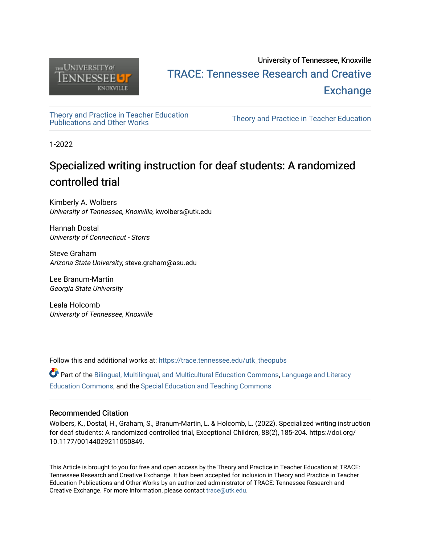

# University of Tennessee, Knoxville TRACE: T[ennessee Research and Cr](https://trace.tennessee.edu/)eative **Exchange**

[Theory and Practice in Teacher Education](https://trace.tennessee.edu/utk_theopubs)

Theory and Practice in Teacher Education

1-2022

# Specialized writing instruction for deaf students: A randomized controlled trial

Kimberly A. Wolbers University of Tennessee, Knoxville, kwolbers@utk.edu

Hannah Dostal University of Connecticut - Storrs

Steve Graham Arizona State University, steve.graham@asu.edu

Lee Branum-Martin Georgia State University

Leala Holcomb University of Tennessee, Knoxville

Follow this and additional works at: [https://trace.tennessee.edu/utk\\_theopubs](https://trace.tennessee.edu/utk_theopubs?utm_source=trace.tennessee.edu%2Futk_theopubs%2F26&utm_medium=PDF&utm_campaign=PDFCoverPages)

Part of the [Bilingual, Multilingual, and Multicultural Education Commons,](http://network.bepress.com/hgg/discipline/785?utm_source=trace.tennessee.edu%2Futk_theopubs%2F26&utm_medium=PDF&utm_campaign=PDFCoverPages) [Language and Literacy](http://network.bepress.com/hgg/discipline/1380?utm_source=trace.tennessee.edu%2Futk_theopubs%2F26&utm_medium=PDF&utm_campaign=PDFCoverPages) [Education Commons,](http://network.bepress.com/hgg/discipline/1380?utm_source=trace.tennessee.edu%2Futk_theopubs%2F26&utm_medium=PDF&utm_campaign=PDFCoverPages) and the [Special Education and Teaching Commons](http://network.bepress.com/hgg/discipline/801?utm_source=trace.tennessee.edu%2Futk_theopubs%2F26&utm_medium=PDF&utm_campaign=PDFCoverPages) 

### Recommended Citation

Wolbers, K., Dostal, H., Graham, S., Branum-Martin, L. & Holcomb, L. (2022). Specialized writing instruction for deaf students: A randomized controlled trial, Exceptional Children, 88(2), 185-204. https://doi.org/ 10.1177/00144029211050849.

This Article is brought to you for free and open access by the Theory and Practice in Teacher Education at TRACE: Tennessee Research and Creative Exchange. It has been accepted for inclusion in Theory and Practice in Teacher Education Publications and Other Works by an authorized administrator of TRACE: Tennessee Research and Creative Exchange. For more information, please contact [trace@utk.edu](mailto:trace@utk.edu).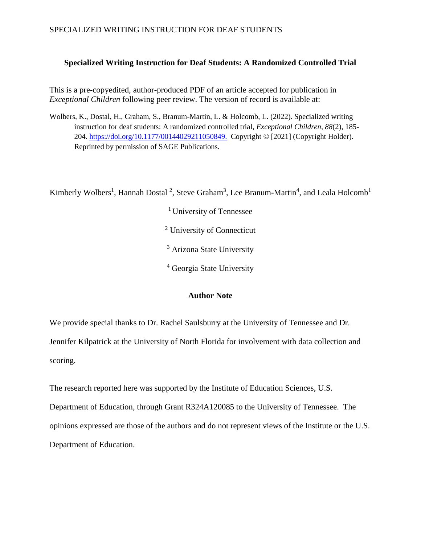### **Specialized Writing Instruction for Deaf Students: A Randomized Controlled Trial**

This is a pre-copyedited, author-produced PDF of an article accepted for publication in *Exceptional Children* following peer review. The version of record is available at:

Wolbers, K., Dostal, H., Graham, S., Branum-Martin, L. & Holcomb, L. (2022). Specialized writing instruction for deaf students: A randomized controlled trial, *Exceptional Children, 88*(2), 185- 204. [https://doi.org/10.1177/00144029211050849.](https://doi.org/10.1177/00144029211050849) Copyright © [2021] (Copyright Holder). Reprinted by permission of SAGE Publications.

Kimberly Wolbers<sup>1</sup>, Hannah Dostal<sup>2</sup>, Steve Graham<sup>3</sup>, Lee Branum-Martin<sup>4</sup>, and Leala Holcomb<sup>1</sup>

<sup>1</sup> University of Tennessee <sup>2</sup> University of Connecticut <sup>3</sup> Arizona State University

<sup>4</sup> Georgia State University

## **Author Note**

We provide special thanks to Dr. Rachel Saulsburry at the University of Tennessee and Dr. Jennifer Kilpatrick at the University of North Florida for involvement with data collection and scoring.

The research reported here was supported by the Institute of Education Sciences, U.S.

Department of Education, through Grant R324A120085 to the University of Tennessee. The opinions expressed are those of the authors and do not represent views of the Institute or the U.S. Department of Education.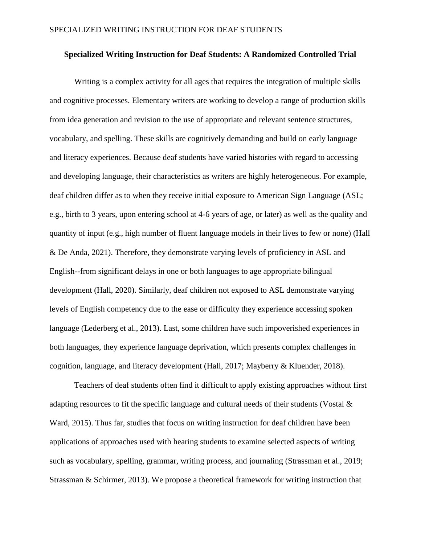#### **Specialized Writing Instruction for Deaf Students: A Randomized Controlled Trial**

Writing is a complex activity for all ages that requires the integration of multiple skills and cognitive processes. Elementary writers are working to develop a range of production skills from idea generation and revision to the use of appropriate and relevant sentence structures, vocabulary, and spelling. These skills are cognitively demanding and build on early language and literacy experiences. Because deaf students have varied histories with regard to accessing and developing language, their characteristics as writers are highly heterogeneous. For example, deaf children differ as to when they receive initial exposure to American Sign Language (ASL; e.g., birth to 3 years, upon entering school at 4-6 years of age, or later) as well as the quality and quantity of input (e.g., high number of fluent language models in their lives to few or none) (Hall & De Anda, 2021). Therefore, they demonstrate varying levels of proficiency in ASL and English--from significant delays in one or both languages to age appropriate bilingual development (Hall, 2020). Similarly, deaf children not exposed to ASL demonstrate varying levels of English competency due to the ease or difficulty they experience accessing spoken language (Lederberg et al., 2013). Last, some children have such impoverished experiences in both languages, they experience language deprivation, which presents complex challenges in cognition, language, and literacy development (Hall, 2017; Mayberry & Kluender, 2018).

Teachers of deaf students often find it difficult to apply existing approaches without first adapting resources to fit the specific language and cultural needs of their students (Vostal & Ward, 2015). Thus far, studies that focus on writing instruction for deaf children have been applications of approaches used with hearing students to examine selected aspects of writing such as vocabulary, spelling, grammar, writing process, and journaling (Strassman et al., 2019; Strassman & Schirmer, 2013). We propose a theoretical framework for writing instruction that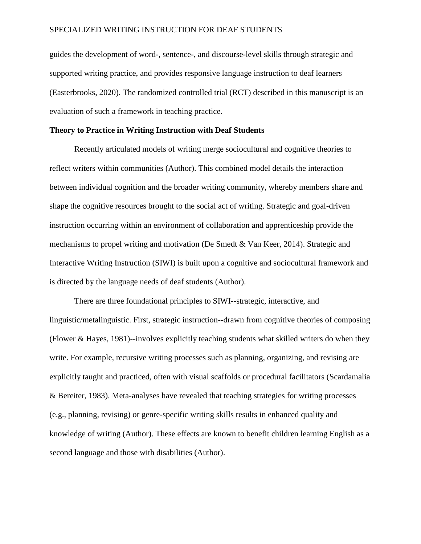guides the development of word-, sentence-, and discourse-level skills through strategic and supported writing practice, and provides responsive language instruction to deaf learners (Easterbrooks, 2020). The randomized controlled trial (RCT) described in this manuscript is an evaluation of such a framework in teaching practice.

#### **Theory to Practice in Writing Instruction with Deaf Students**

Recently articulated models of writing merge sociocultural and cognitive theories to reflect writers within communities (Author). This combined model details the interaction between individual cognition and the broader writing community, whereby members share and shape the cognitive resources brought to the social act of writing. Strategic and goal-driven instruction occurring within an environment of collaboration and apprenticeship provide the mechanisms to propel writing and motivation (De Smedt & Van Keer, 2014). Strategic and Interactive Writing Instruction (SIWI) is built upon a cognitive and sociocultural framework and is directed by the language needs of deaf students (Author).

There are three foundational principles to SIWI--strategic, interactive, and linguistic/metalinguistic. First, strategic instruction--drawn from cognitive theories of composing (Flower & Hayes, 1981)--involves explicitly teaching students what skilled writers do when they write. For example, recursive writing processes such as planning, organizing, and revising are explicitly taught and practiced, often with visual scaffolds or procedural facilitators (Scardamalia & Bereiter, 1983). Meta-analyses have revealed that teaching strategies for writing processes (e.g., planning, revising) or genre-specific writing skills results in enhanced quality and knowledge of writing (Author). These effects are known to benefit children learning English as a second language and those with disabilities (Author).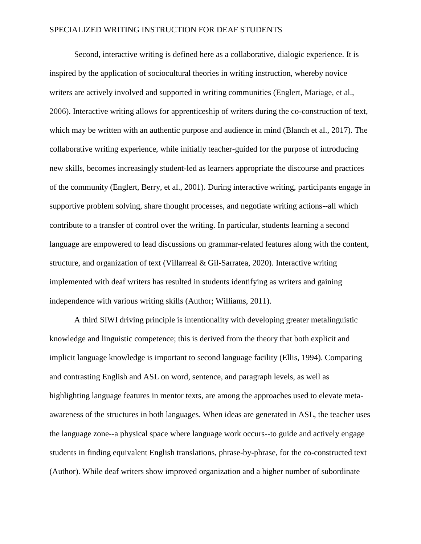Second, interactive writing is defined here as a collaborative, dialogic experience. It is inspired by the application of sociocultural theories in writing instruction, whereby novice writers are actively involved and supported in writing communities (Englert, Mariage, et al., 2006). Interactive writing allows for apprenticeship of writers during the co-construction of text, which may be written with an authentic purpose and audience in mind (Blanch et al., 2017). The collaborative writing experience, while initially teacher-guided for the purpose of introducing new skills, becomes increasingly student-led as learners appropriate the discourse and practices of the community (Englert, Berry, et al., 2001). During interactive writing, participants engage in supportive problem solving, share thought processes, and negotiate writing actions--all which contribute to a transfer of control over the writing. In particular, students learning a second language are empowered to lead discussions on grammar-related features along with the content, structure, and organization of text (Villarreal & Gil-Sarratea, 2020). Interactive writing implemented with deaf writers has resulted in students identifying as writers and gaining independence with various writing skills (Author; Williams, 2011).

A third SIWI driving principle is intentionality with developing greater metalinguistic knowledge and linguistic competence; this is derived from the theory that both explicit and implicit language knowledge is important to second language facility (Ellis, 1994). Comparing and contrasting English and ASL on word, sentence, and paragraph levels, as well as highlighting language features in mentor texts, are among the approaches used to elevate metaawareness of the structures in both languages. When ideas are generated in ASL, the teacher uses the language zone--a physical space where language work occurs--to guide and actively engage students in finding equivalent English translations, phrase-by-phrase, for the co-constructed text (Author). While deaf writers show improved organization and a higher number of subordinate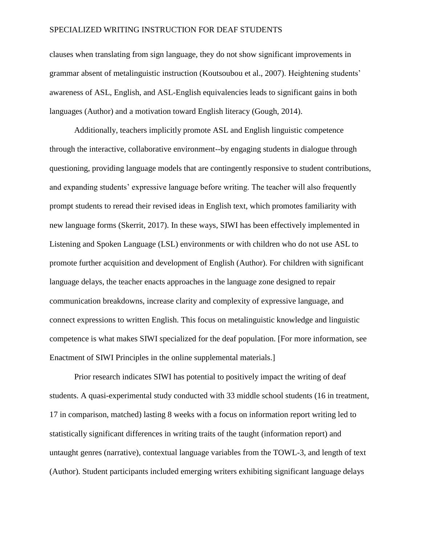clauses when translating from sign language, they do not show significant improvements in grammar absent of metalinguistic instruction (Koutsoubou et al., 2007). Heightening students' awareness of ASL, English, and ASL-English equivalencies leads to significant gains in both languages (Author) and a motivation toward English literacy (Gough, 2014).

Additionally, teachers implicitly promote ASL and English linguistic competence through the interactive, collaborative environment--by engaging students in dialogue through questioning, providing language models that are contingently responsive to student contributions, and expanding students' expressive language before writing. The teacher will also frequently prompt students to reread their revised ideas in English text, which promotes familiarity with new language forms (Skerrit, 2017). In these ways, SIWI has been effectively implemented in Listening and Spoken Language (LSL) environments or with children who do not use ASL to promote further acquisition and development of English (Author). For children with significant language delays, the teacher enacts approaches in the language zone designed to repair communication breakdowns, increase clarity and complexity of expressive language, and connect expressions to written English. This focus on metalinguistic knowledge and linguistic competence is what makes SIWI specialized for the deaf population. [For more information, see Enactment of SIWI Principles in the online supplemental materials.]

Prior research indicates SIWI has potential to positively impact the writing of deaf students. A quasi-experimental study conducted with 33 middle school students (16 in treatment, 17 in comparison, matched) lasting 8 weeks with a focus on information report writing led to statistically significant differences in writing traits of the taught (information report) and untaught genres (narrative), contextual language variables from the TOWL-3, and length of text (Author). Student participants included emerging writers exhibiting significant language delays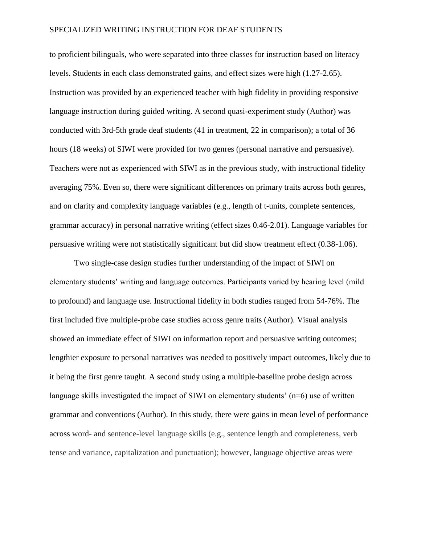to proficient bilinguals, who were separated into three classes for instruction based on literacy levels. Students in each class demonstrated gains, and effect sizes were high (1.27-2.65). Instruction was provided by an experienced teacher with high fidelity in providing responsive language instruction during guided writing. A second quasi-experiment study (Author) was conducted with 3rd-5th grade deaf students (41 in treatment, 22 in comparison); a total of 36 hours (18 weeks) of SIWI were provided for two genres (personal narrative and persuasive). Teachers were not as experienced with SIWI as in the previous study, with instructional fidelity averaging 75%. Even so, there were significant differences on primary traits across both genres, and on clarity and complexity language variables (e.g., length of t-units, complete sentences, grammar accuracy) in personal narrative writing (effect sizes 0.46-2.01). Language variables for persuasive writing were not statistically significant but did show treatment effect (0.38-1.06).

Two single-case design studies further understanding of the impact of SIWI on elementary students' writing and language outcomes. Participants varied by hearing level (mild to profound) and language use. Instructional fidelity in both studies ranged from 54-76%. The first included five multiple-probe case studies across genre traits (Author). Visual analysis showed an immediate effect of SIWI on information report and persuasive writing outcomes; lengthier exposure to personal narratives was needed to positively impact outcomes, likely due to it being the first genre taught. A second study using a multiple-baseline probe design across language skills investigated the impact of SIWI on elementary students'  $(n=6)$  use of written grammar and conventions (Author). In this study, there were gains in mean level of performance across word- and sentence-level language skills (e.g., sentence length and completeness, verb tense and variance, capitalization and punctuation); however, language objective areas were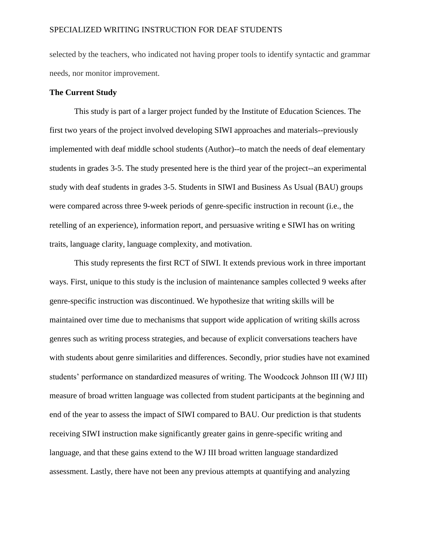selected by the teachers, who indicated not having proper tools to identify syntactic and grammar needs, nor monitor improvement.

#### **The Current Study**

This study is part of a larger project funded by the Institute of Education Sciences. The first two years of the project involved developing SIWI approaches and materials--previously implemented with deaf middle school students (Author)--to match the needs of deaf elementary students in grades 3-5. The study presented here is the third year of the project--an experimental study with deaf students in grades 3-5. Students in SIWI and Business As Usual (BAU) groups were compared across three 9-week periods of genre-specific instruction in recount (i.e., the retelling of an experience), information report, and persuasive writing e SIWI has on writing traits, language clarity, language complexity, and motivation.

This study represents the first RCT of SIWI. It extends previous work in three important ways. First, unique to this study is the inclusion of maintenance samples collected 9 weeks after genre-specific instruction was discontinued. We hypothesize that writing skills will be maintained over time due to mechanisms that support wide application of writing skills across genres such as writing process strategies, and because of explicit conversations teachers have with students about genre similarities and differences. Secondly, prior studies have not examined students' performance on standardized measures of writing. The Woodcock Johnson III (WJ III) measure of broad written language was collected from student participants at the beginning and end of the year to assess the impact of SIWI compared to BAU. Our prediction is that students receiving SIWI instruction make significantly greater gains in genre-specific writing and language, and that these gains extend to the WJ III broad written language standardized assessment. Lastly, there have not been any previous attempts at quantifying and analyzing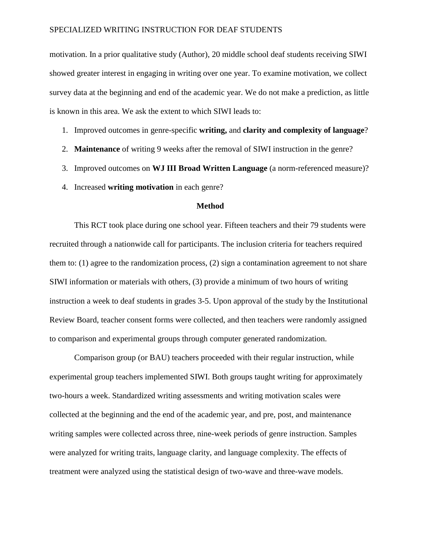motivation. In a prior qualitative study (Author), 20 middle school deaf students receiving SIWI showed greater interest in engaging in writing over one year. To examine motivation, we collect survey data at the beginning and end of the academic year. We do not make a prediction, as little is known in this area. We ask the extent to which SIWI leads to:

- 1. Improved outcomes in genre-specific **writing,** and **clarity and complexity of language**?
- 2. **Maintenance** of writing 9 weeks after the removal of SIWI instruction in the genre?
- 3. Improved outcomes on **WJ III Broad Written Language** (a norm-referenced measure)?
- 4. Increased **writing motivation** in each genre?

#### **Method**

This RCT took place during one school year. Fifteen teachers and their 79 students were recruited through a nationwide call for participants. The inclusion criteria for teachers required them to: (1) agree to the randomization process, (2) sign a contamination agreement to not share SIWI information or materials with others, (3) provide a minimum of two hours of writing instruction a week to deaf students in grades 3-5. Upon approval of the study by the Institutional Review Board, teacher consent forms were collected, and then teachers were randomly assigned to comparison and experimental groups through computer generated randomization.

Comparison group (or BAU) teachers proceeded with their regular instruction, while experimental group teachers implemented SIWI. Both groups taught writing for approximately two-hours a week. Standardized writing assessments and writing motivation scales were collected at the beginning and the end of the academic year, and pre, post, and maintenance writing samples were collected across three, nine-week periods of genre instruction. Samples were analyzed for writing traits, language clarity, and language complexity. The effects of treatment were analyzed using the statistical design of two-wave and three-wave models.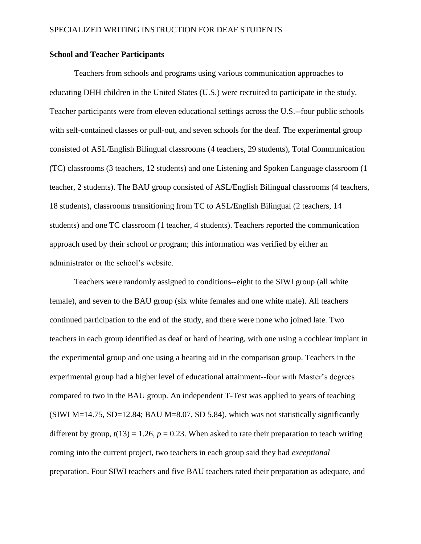### **School and Teacher Participants**

Teachers from schools and programs using various communication approaches to educating DHH children in the United States (U.S.) were recruited to participate in the study. Teacher participants were from eleven educational settings across the U.S.--four public schools with self-contained classes or pull-out, and seven schools for the deaf. The experimental group consisted of ASL/English Bilingual classrooms (4 teachers, 29 students), Total Communication (TC) classrooms (3 teachers, 12 students) and one Listening and Spoken Language classroom (1 teacher, 2 students). The BAU group consisted of ASL/English Bilingual classrooms (4 teachers, 18 students), classrooms transitioning from TC to ASL/English Bilingual (2 teachers, 14 students) and one TC classroom (1 teacher, 4 students). Teachers reported the communication approach used by their school or program; this information was verified by either an administrator or the school's website.

Teachers were randomly assigned to conditions--eight to the SIWI group (all white female), and seven to the BAU group (six white females and one white male). All teachers continued participation to the end of the study, and there were none who joined late. Two teachers in each group identified as deaf or hard of hearing, with one using a cochlear implant in the experimental group and one using a hearing aid in the comparison group. Teachers in the experimental group had a higher level of educational attainment--four with Master's degrees compared to two in the BAU group. An independent T-Test was applied to years of teaching (SIWI M=14.75, SD=12.84; BAU M=8.07, SD 5.84), which was not statistically significantly different by group,  $t(13) = 1.26$ ,  $p = 0.23$ . When asked to rate their preparation to teach writing coming into the current project, two teachers in each group said they had *exceptional* preparation. Four SIWI teachers and five BAU teachers rated their preparation as adequate, and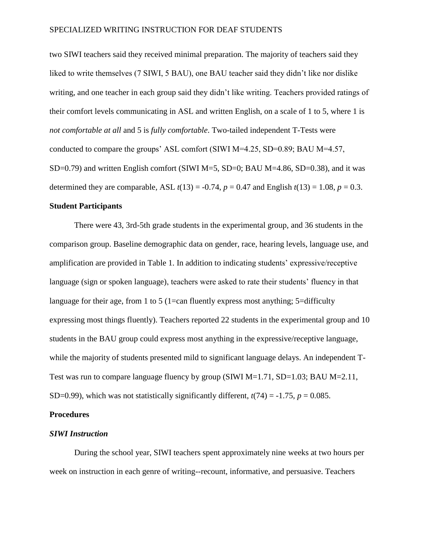two SIWI teachers said they received minimal preparation. The majority of teachers said they liked to write themselves (7 SIWI, 5 BAU), one BAU teacher said they didn't like nor dislike writing, and one teacher in each group said they didn't like writing. Teachers provided ratings of their comfort levels communicating in ASL and written English, on a scale of 1 to 5, where 1 is *not comfortable at all* and 5 is *fully comfortable*. Two-tailed independent T-Tests were conducted to compare the groups' ASL comfort (SIWI M=4.25, SD=0.89; BAU M=4.57, SD=0.79) and written English comfort (SIWI M=5, SD=0; BAU M=4.86, SD=0.38), and it was determined they are comparable, ASL  $t(13) = -0.74$ ,  $p = 0.47$  and English  $t(13) = 1.08$ ,  $p = 0.3$ .

#### **Student Participants**

There were 43, 3rd-5th grade students in the experimental group, and 36 students in the comparison group. Baseline demographic data on gender, race, hearing levels, language use, and amplification are provided in Table 1. In addition to indicating students' expressive/receptive language (sign or spoken language), teachers were asked to rate their students' fluency in that language for their age, from 1 to 5 (1=can fluently express most anything; 5=difficulty expressing most things fluently). Teachers reported 22 students in the experimental group and 10 students in the BAU group could express most anything in the expressive/receptive language, while the majority of students presented mild to significant language delays. An independent T-Test was run to compare language fluency by group (SIWI M=1.71, SD=1.03; BAU M=2.11, SD=0.99), which was not statistically significantly different,  $t(74) = -1.75$ ,  $p = 0.085$ .

#### **Procedures**

#### *SIWI Instruction*

During the school year, SIWI teachers spent approximately nine weeks at two hours per week on instruction in each genre of writing--recount, informative, and persuasive. Teachers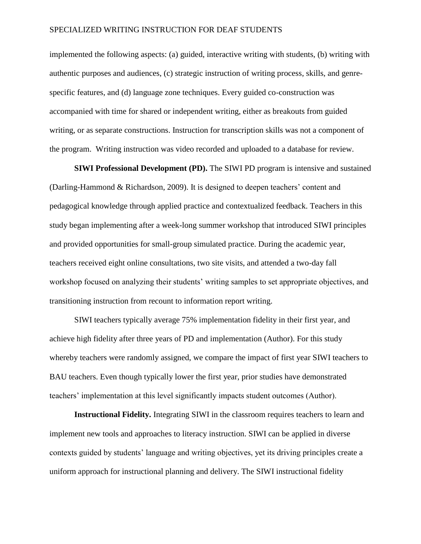implemented the following aspects: (a) guided, interactive writing with students, (b) writing with authentic purposes and audiences, (c) strategic instruction of writing process, skills, and genrespecific features, and (d) language zone techniques. Every guided co-construction was accompanied with time for shared or independent writing, either as breakouts from guided writing, or as separate constructions. Instruction for transcription skills was not a component of the program. Writing instruction was video recorded and uploaded to a database for review.

**SIWI Professional Development (PD).** The SIWI PD program is intensive and sustained (Darling-Hammond & Richardson, 2009). It is designed to deepen teachers' content and pedagogical knowledge through applied practice and contextualized feedback. Teachers in this study began implementing after a week-long summer workshop that introduced SIWI principles and provided opportunities for small-group simulated practice. During the academic year, teachers received eight online consultations, two site visits, and attended a two-day fall workshop focused on analyzing their students' writing samples to set appropriate objectives, and transitioning instruction from recount to information report writing.

SIWI teachers typically average 75% implementation fidelity in their first year, and achieve high fidelity after three years of PD and implementation (Author). For this study whereby teachers were randomly assigned, we compare the impact of first year SIWI teachers to BAU teachers. Even though typically lower the first year, prior studies have demonstrated teachers' implementation at this level significantly impacts student outcomes (Author).

**Instructional Fidelity.** Integrating SIWI in the classroom requires teachers to learn and implement new tools and approaches to literacy instruction. SIWI can be applied in diverse contexts guided by students' language and writing objectives, yet its driving principles create a uniform approach for instructional planning and delivery. The SIWI instructional fidelity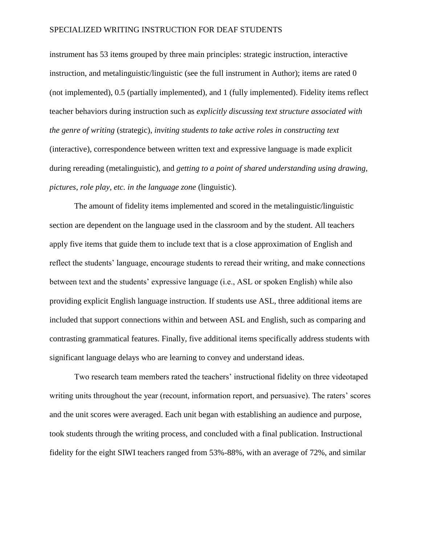instrument has 53 items grouped by three main principles: strategic instruction, interactive instruction, and metalinguistic/linguistic (see the full instrument in Author); items are rated 0 (not implemented), 0.5 (partially implemented), and 1 (fully implemented). Fidelity items reflect teacher behaviors during instruction such as *explicitly discussing text structure associated with the genre of writing* (strategic), *inviting students to take active roles in constructing text*  (interactive), correspondence between written text and expressive language is made explicit during rereading (metalinguistic), and *getting to a point of shared understanding using drawing, pictures, role play, etc. in the language zone* (linguistic).

The amount of fidelity items implemented and scored in the metalinguistic/linguistic section are dependent on the language used in the classroom and by the student. All teachers apply five items that guide them to include text that is a close approximation of English and reflect the students' language, encourage students to reread their writing, and make connections between text and the students' expressive language (i.e., ASL or spoken English) while also providing explicit English language instruction. If students use ASL, three additional items are included that support connections within and between ASL and English, such as comparing and contrasting grammatical features. Finally, five additional items specifically address students with significant language delays who are learning to convey and understand ideas.

Two research team members rated the teachers' instructional fidelity on three videotaped writing units throughout the year (recount, information report, and persuasive). The raters' scores and the unit scores were averaged. Each unit began with establishing an audience and purpose, took students through the writing process, and concluded with a final publication. Instructional fidelity for the eight SIWI teachers ranged from 53%-88%, with an average of 72%, and similar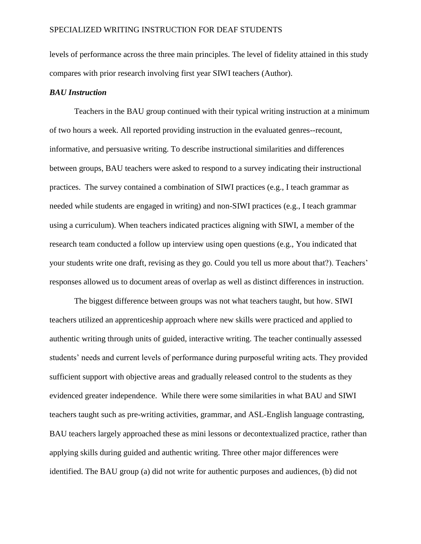levels of performance across the three main principles. The level of fidelity attained in this study compares with prior research involving first year SIWI teachers (Author).

#### *BAU Instruction*

Teachers in the BAU group continued with their typical writing instruction at a minimum of two hours a week. All reported providing instruction in the evaluated genres--recount, informative, and persuasive writing. To describe instructional similarities and differences between groups, BAU teachers were asked to respond to a survey indicating their instructional practices. The survey contained a combination of SIWI practices (e.g., I teach grammar as needed while students are engaged in writing) and non-SIWI practices (e.g., I teach grammar using a curriculum). When teachers indicated practices aligning with SIWI, a member of the research team conducted a follow up interview using open questions (e.g., You indicated that your students write one draft, revising as they go. Could you tell us more about that?). Teachers' responses allowed us to document areas of overlap as well as distinct differences in instruction.

The biggest difference between groups was not what teachers taught, but how. SIWI teachers utilized an apprenticeship approach where new skills were practiced and applied to authentic writing through units of guided, interactive writing. The teacher continually assessed students' needs and current levels of performance during purposeful writing acts. They provided sufficient support with objective areas and gradually released control to the students as they evidenced greater independence. While there were some similarities in what BAU and SIWI teachers taught such as pre-writing activities, grammar, and ASL-English language contrasting, BAU teachers largely approached these as mini lessons or decontextualized practice, rather than applying skills during guided and authentic writing. Three other major differences were identified. The BAU group (a) did not write for authentic purposes and audiences, (b) did not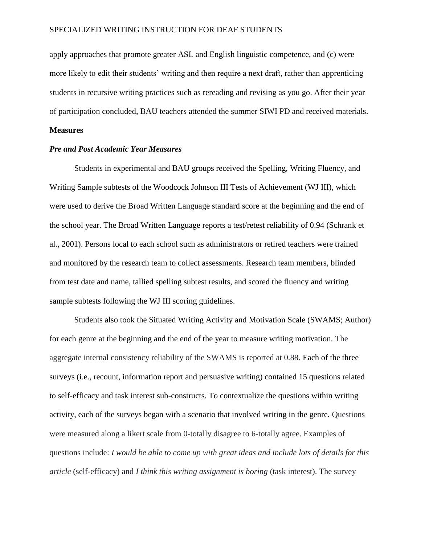apply approaches that promote greater ASL and English linguistic competence, and (c) were more likely to edit their students' writing and then require a next draft, rather than apprenticing students in recursive writing practices such as rereading and revising as you go. After their year of participation concluded, BAU teachers attended the summer SIWI PD and received materials.

#### **Measures**

#### *Pre and Post Academic Year Measures*

Students in experimental and BAU groups received the Spelling, Writing Fluency, and Writing Sample subtests of the Woodcock Johnson III Tests of Achievement (WJ III), which were used to derive the Broad Written Language standard score at the beginning and the end of the school year. The Broad Written Language reports a test/retest reliability of 0.94 (Schrank et al., 2001). Persons local to each school such as administrators or retired teachers were trained and monitored by the research team to collect assessments. Research team members, blinded from test date and name, tallied spelling subtest results, and scored the fluency and writing sample subtests following the WJ III scoring guidelines.

Students also took the Situated Writing Activity and Motivation Scale (SWAMS; Author) for each genre at the beginning and the end of the year to measure writing motivation. The aggregate internal consistency reliability of the SWAMS is reported at 0.88. Each of the three surveys (i.e., recount, information report and persuasive writing) contained 15 questions related to self-efficacy and task interest sub-constructs. To contextualize the questions within writing activity, each of the surveys began with a scenario that involved writing in the genre. Questions were measured along a likert scale from 0-totally disagree to 6-totally agree. Examples of questions include: *I would be able to come up with great ideas and include lots of details for this article* (self-efficacy) and *I think this writing assignment is boring* (task interest). The survey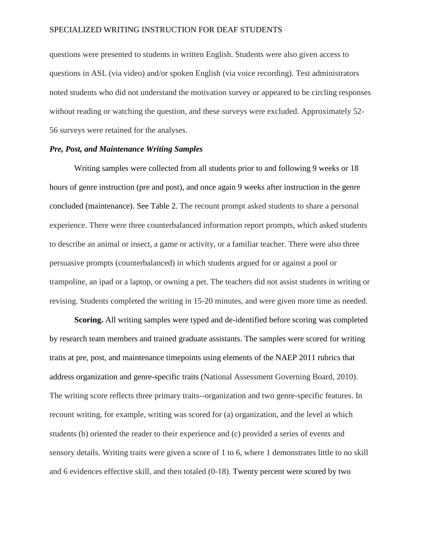questions were presented to students in written English. Students were also given access to questions in ASL (via video) and/or spoken English (via voice recording). Test administrators noted students who did not understand the motivation survey or appeared to be circling responses without reading or watching the question, and these surveys were excluded. Approximately 52- 56 surveys were retained for the analyses.

#### *Pre, Post, and Maintenance Writing Samples*

Writing samples were collected from all students prior to and following 9 weeks or 18 hours of genre instruction (pre and post), and once again 9 weeks after instruction in the genre concluded (maintenance). See Table 2. The recount prompt asked students to share a personal experience. There were three counterbalanced information report prompts, which asked students to describe an animal or insect, a game or activity, or a familiar teacher. There were also three persuasive prompts (counterbalanced) in which students argued for or against a pool or trampoline, an ipad or a laptop, or owning a pet. The teachers did not assist students in writing or revising. Students completed the writing in 15-20 minutes, and were given more time as needed.

**Scoring.** All writing samples were typed and de-identified before scoring was completed by research team members and trained graduate assistants. The samples were scored for writing traits at pre, post, and maintenance timepoints using elements of the NAEP 2011 rubrics that address organization and genre-specific traits (National Assessment Governing Board, 2010). The writing score reflects three primary traits--organization and two genre-specific features. In recount writing, for example, writing was scored for (a) organization, and the level at which students (b) oriented the reader to their experience and (c) provided a series of events and sensory details. Writing traits were given a score of 1 to 6, where 1 demonstrates little to no skill and 6 evidences effective skill, and then totaled (0-18). Twenty percent were scored by two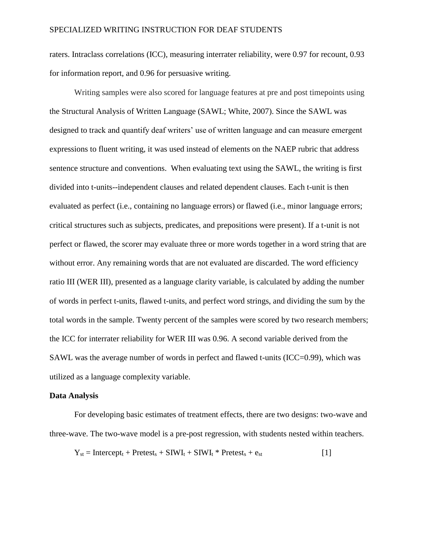raters. Intraclass correlations (ICC), measuring interrater reliability, were 0.97 for recount, 0.93 for information report, and 0.96 for persuasive writing.

Writing samples were also scored for language features at pre and post timepoints using the Structural Analysis of Written Language (SAWL; White, 2007). Since the SAWL was designed to track and quantify deaf writers' use of written language and can measure emergent expressions to fluent writing, it was used instead of elements on the NAEP rubric that address sentence structure and conventions. When evaluating text using the SAWL, the writing is first divided into t-units--independent clauses and related dependent clauses. Each t-unit is then evaluated as perfect (i.e., containing no language errors) or flawed (i.e., minor language errors; critical structures such as subjects, predicates, and prepositions were present). If a t-unit is not perfect or flawed, the scorer may evaluate three or more words together in a word string that are without error. Any remaining words that are not evaluated are discarded. The word efficiency ratio III (WER III), presented as a language clarity variable, is calculated by adding the number of words in perfect t-units, flawed t-units, and perfect word strings, and dividing the sum by the total words in the sample. Twenty percent of the samples were scored by two research members; the ICC for interrater reliability for WER III was 0.96. A second variable derived from the SAWL was the average number of words in perfect and flawed t-units (ICC=0.99), which was utilized as a language complexity variable.

#### **Data Analysis**

For developing basic estimates of treatment effects, there are two designs: two-wave and three-wave. The two-wave model is a pre-post regression, with students nested within teachers.

$$
Y_{st} = \text{Intercept}_{t} + \text{Pretest}_{s} + \text{SIWI}_{t} + \text{SIWI}_{t} * \text{Pretest}_{s} + e_{st}
$$
 [1]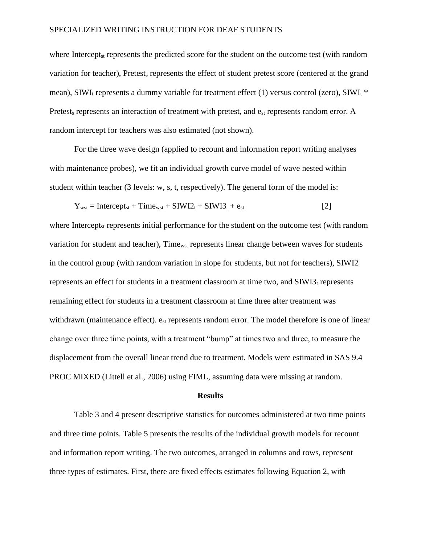where Intercept<sub>st</sub> represents the predicted score for the student on the outcome test (with random variation for teacher), Pretest, represents the effect of student pretest score (centered at the grand mean), SIWI<sub>t</sub> represents a dummy variable for treatment effect (1) versus control (zero), SIWI<sub>t</sub>  $*$ Pretest<sub>s</sub> represents an interaction of treatment with pretest, and e<sub>st</sub> represents random error. A random intercept for teachers was also estimated (not shown).

For the three wave design (applied to recount and information report writing analyses with maintenance probes), we fit an individual growth curve model of wave nested within student within teacher (3 levels: w, s, t, respectively). The general form of the model is:

$$
Y_{wst} = \text{Intercept}_{st} + \text{Time}_{wst} + \text{SIW12}_{t} + \text{SIW13}_{t} + e_{st}
$$
 [2]

where Intercept<sub>st</sub> represents initial performance for the student on the outcome test (with random variation for student and teacher), Timewst represents linear change between waves for students in the control group (with random variation in slope for students, but not for teachers),  $\text{SIWI2}_t$ represents an effect for students in a treatment classroom at time two, and  $\text{SIWI3}_t$  represents remaining effect for students in a treatment classroom at time three after treatment was withdrawn (maintenance effect).  $e_{st}$  represents random error. The model therefore is one of linear change over three time points, with a treatment "bump" at times two and three, to measure the displacement from the overall linear trend due to treatment. Models were estimated in SAS 9.4 PROC MIXED (Littell et al., 2006) using FIML, assuming data were missing at random.

#### **Results**

Table 3 and 4 present descriptive statistics for outcomes administered at two time points and three time points. Table 5 presents the results of the individual growth models for recount and information report writing. The two outcomes, arranged in columns and rows, represent three types of estimates. First, there are fixed effects estimates following Equation 2, with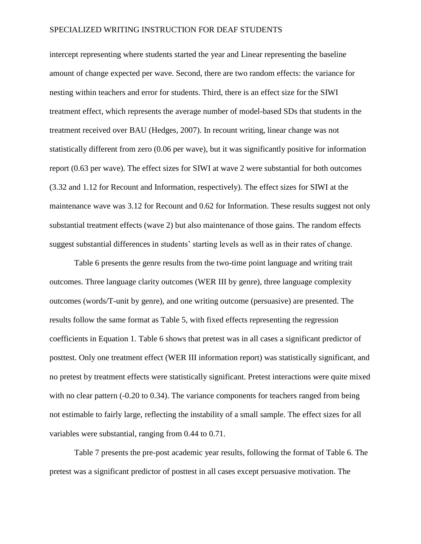intercept representing where students started the year and Linear representing the baseline amount of change expected per wave. Second, there are two random effects: the variance for nesting within teachers and error for students. Third, there is an effect size for the SIWI treatment effect, which represents the average number of model-based SDs that students in the treatment received over BAU (Hedges, 2007). In recount writing, linear change was not statistically different from zero (0.06 per wave), but it was significantly positive for information report (0.63 per wave). The effect sizes for SIWI at wave 2 were substantial for both outcomes (3.32 and 1.12 for Recount and Information, respectively). The effect sizes for SIWI at the maintenance wave was 3.12 for Recount and 0.62 for Information. These results suggest not only substantial treatment effects (wave 2) but also maintenance of those gains. The random effects suggest substantial differences in students' starting levels as well as in their rates of change.

Table 6 presents the genre results from the two-time point language and writing trait outcomes. Three language clarity outcomes (WER III by genre), three language complexity outcomes (words/T-unit by genre), and one writing outcome (persuasive) are presented. The results follow the same format as Table 5, with fixed effects representing the regression coefficients in Equation 1. Table 6 shows that pretest was in all cases a significant predictor of posttest. Only one treatment effect (WER III information report) was statistically significant, and no pretest by treatment effects were statistically significant. Pretest interactions were quite mixed with no clear pattern (-0.20 to 0.34). The variance components for teachers ranged from being not estimable to fairly large, reflecting the instability of a small sample. The effect sizes for all variables were substantial, ranging from 0.44 to 0.71.

Table 7 presents the pre-post academic year results, following the format of Table 6. The pretest was a significant predictor of posttest in all cases except persuasive motivation. The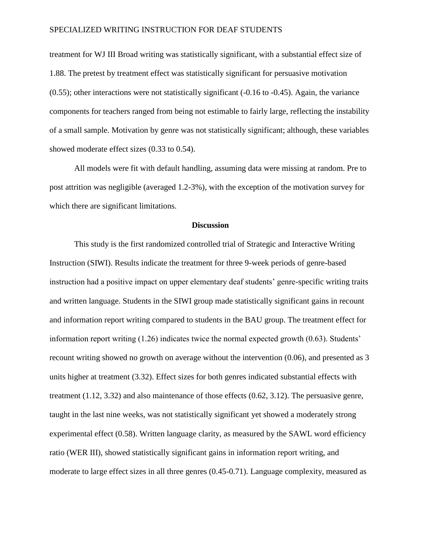treatment for WJ III Broad writing was statistically significant, with a substantial effect size of 1.88. The pretest by treatment effect was statistically significant for persuasive motivation (0.55); other interactions were not statistically significant (-0.16 to -0.45). Again, the variance components for teachers ranged from being not estimable to fairly large, reflecting the instability of a small sample. Motivation by genre was not statistically significant; although, these variables showed moderate effect sizes (0.33 to 0.54).

All models were fit with default handling, assuming data were missing at random. Pre to post attrition was negligible (averaged 1.2-3%), with the exception of the motivation survey for which there are significant limitations.

#### **Discussion**

This study is the first randomized controlled trial of Strategic and Interactive Writing Instruction (SIWI). Results indicate the treatment for three 9-week periods of genre-based instruction had a positive impact on upper elementary deaf students' genre-specific writing traits and written language. Students in the SIWI group made statistically significant gains in recount and information report writing compared to students in the BAU group. The treatment effect for information report writing (1.26) indicates twice the normal expected growth (0.63). Students' recount writing showed no growth on average without the intervention (0.06), and presented as 3 units higher at treatment (3.32). Effect sizes for both genres indicated substantial effects with treatment (1.12, 3.32) and also maintenance of those effects (0.62, 3.12). The persuasive genre, taught in the last nine weeks, was not statistically significant yet showed a moderately strong experimental effect (0.58). Written language clarity, as measured by the SAWL word efficiency ratio (WER III), showed statistically significant gains in information report writing, and moderate to large effect sizes in all three genres (0.45-0.71). Language complexity, measured as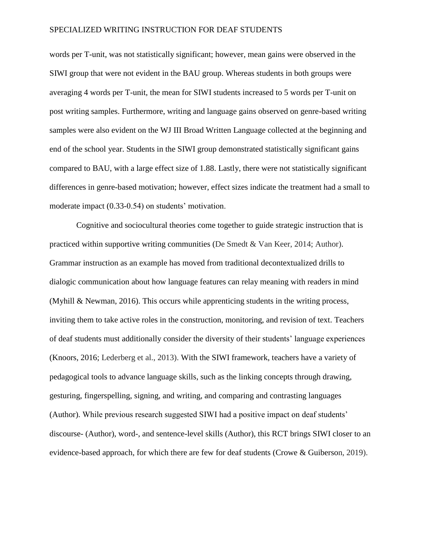words per T-unit, was not statistically significant; however, mean gains were observed in the SIWI group that were not evident in the BAU group. Whereas students in both groups were averaging 4 words per T-unit, the mean for SIWI students increased to 5 words per T-unit on post writing samples. Furthermore, writing and language gains observed on genre-based writing samples were also evident on the WJ III Broad Written Language collected at the beginning and end of the school year. Students in the SIWI group demonstrated statistically significant gains compared to BAU, with a large effect size of 1.88. Lastly, there were not statistically significant differences in genre-based motivation; however, effect sizes indicate the treatment had a small to moderate impact (0.33-0.54) on students' motivation.

Cognitive and sociocultural theories come together to guide strategic instruction that is practiced within supportive writing communities (De Smedt & Van Keer, 2014; Author). Grammar instruction as an example has moved from traditional decontextualized drills to dialogic communication about how language features can relay meaning with readers in mind (Myhill & Newman, 2016). This occurs while apprenticing students in the writing process, inviting them to take active roles in the construction, monitoring, and revision of text. Teachers of deaf students must additionally consider the diversity of their students' language experiences (Knoors, 2016; Lederberg et al., 2013). With the SIWI framework, teachers have a variety of pedagogical tools to advance language skills, such as the linking concepts through drawing, gesturing, fingerspelling, signing, and writing, and comparing and contrasting languages (Author). While previous research suggested SIWI had a positive impact on deaf students' discourse- (Author), word-, and sentence-level skills (Author), this RCT brings SIWI closer to an evidence-based approach, for which there are few for deaf students (Crowe & Guiberson, 2019).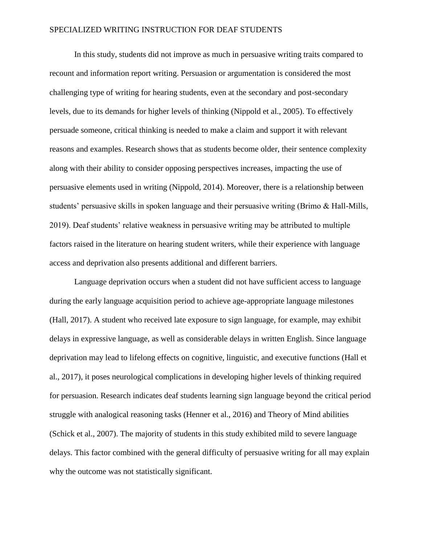In this study, students did not improve as much in persuasive writing traits compared to recount and information report writing. Persuasion or argumentation is considered the most challenging type of writing for hearing students, even at the secondary and post-secondary levels, due to its demands for higher levels of thinking (Nippold et al., 2005). To effectively persuade someone, critical thinking is needed to make a claim and support it with relevant reasons and examples. Research shows that as students become older, their sentence complexity along with their ability to consider opposing perspectives increases, impacting the use of persuasive elements used in writing (Nippold, 2014). Moreover, there is a relationship between students' persuasive skills in spoken language and their persuasive writing (Brimo & Hall-Mills, 2019). Deaf students' relative weakness in persuasive writing may be attributed to multiple factors raised in the literature on hearing student writers, while their experience with language access and deprivation also presents additional and different barriers.

Language deprivation occurs when a student did not have sufficient access to language during the early language acquisition period to achieve age-appropriate language milestones (Hall, 2017). A student who received late exposure to sign language, for example, may exhibit delays in expressive language, as well as considerable delays in written English. Since language deprivation may lead to lifelong effects on cognitive, linguistic, and executive functions (Hall et al., 2017), it poses neurological complications in developing higher levels of thinking required for persuasion. Research indicates deaf students learning sign language beyond the critical period struggle with analogical reasoning tasks (Henner et al., 2016) and Theory of Mind abilities (Schick et al., 2007). The majority of students in this study exhibited mild to severe language delays. This factor combined with the general difficulty of persuasive writing for all may explain why the outcome was not statistically significant.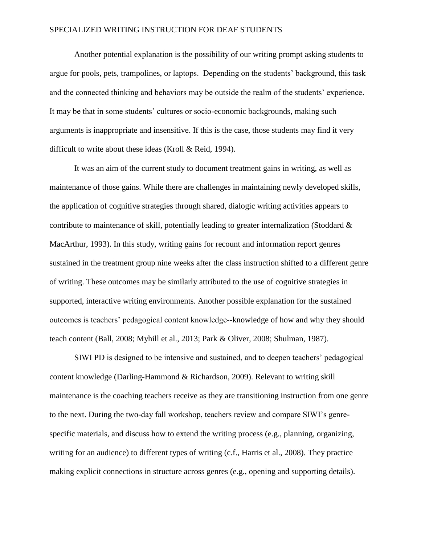Another potential explanation is the possibility of our writing prompt asking students to argue for pools, pets, trampolines, or laptops. Depending on the students' background, this task and the connected thinking and behaviors may be outside the realm of the students' experience. It may be that in some students' cultures or socio-economic backgrounds, making such arguments is inappropriate and insensitive. If this is the case, those students may find it very difficult to write about these ideas (Kroll & Reid, 1994).

It was an aim of the current study to document treatment gains in writing, as well as maintenance of those gains. While there are challenges in maintaining newly developed skills, the application of cognitive strategies through shared, dialogic writing activities appears to contribute to maintenance of skill, potentially leading to greater internalization (Stoddard & MacArthur, 1993). In this study, writing gains for recount and information report genres sustained in the treatment group nine weeks after the class instruction shifted to a different genre of writing. These outcomes may be similarly attributed to the use of cognitive strategies in supported, interactive writing environments. Another possible explanation for the sustained outcomes is teachers' pedagogical content knowledge--knowledge of how and why they should teach content (Ball, 2008; Myhill et al., 2013; Park & Oliver, 2008; Shulman, 1987).

SIWI PD is designed to be intensive and sustained, and to deepen teachers' pedagogical content knowledge (Darling-Hammond & Richardson, 2009). Relevant to writing skill maintenance is the coaching teachers receive as they are transitioning instruction from one genre to the next. During the two-day fall workshop, teachers review and compare SIWI's genrespecific materials, and discuss how to extend the writing process (e.g., planning, organizing, writing for an audience) to different types of writing (c.f., Harris et al., 2008). They practice making explicit connections in structure across genres (e.g., opening and supporting details).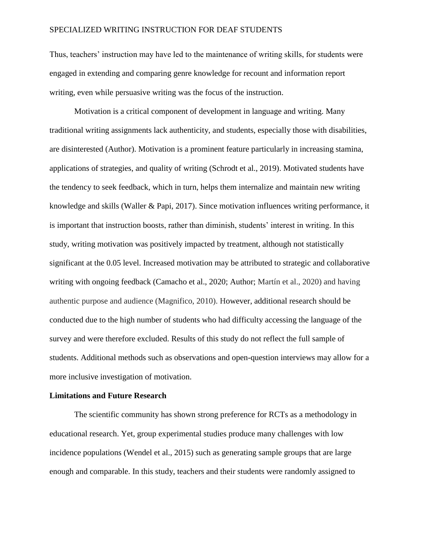Thus, teachers' instruction may have led to the maintenance of writing skills, for students were engaged in extending and comparing genre knowledge for recount and information report writing, even while persuasive writing was the focus of the instruction.

Motivation is a critical component of development in language and writing. Many traditional writing assignments lack authenticity, and students, especially those with disabilities, are disinterested (Author). Motivation is a prominent feature particularly in increasing stamina, applications of strategies, and quality of writing (Schrodt et al., 2019). Motivated students have the tendency to seek feedback, which in turn, helps them internalize and maintain new writing knowledge and skills (Waller & Papi, 2017). Since motivation influences writing performance, it is important that instruction boosts, rather than diminish, students' interest in writing. In this study, writing motivation was positively impacted by treatment, although not statistically significant at the 0.05 level. Increased motivation may be attributed to strategic and collaborative writing with ongoing feedback (Camacho et al., 2020; Author; Martín et al., 2020) and having authentic purpose and audience (Magnifico, 2010). However, additional research should be conducted due to the high number of students who had difficulty accessing the language of the survey and were therefore excluded. Results of this study do not reflect the full sample of students. Additional methods such as observations and open-question interviews may allow for a more inclusive investigation of motivation.

#### **Limitations and Future Research**

The scientific community has shown strong preference for RCTs as a methodology in educational research. Yet, group experimental studies produce many challenges with low incidence populations (Wendel et al., 2015) such as generating sample groups that are large enough and comparable. In this study, teachers and their students were randomly assigned to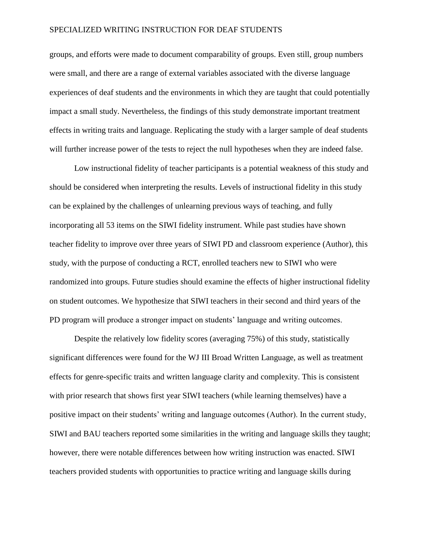groups, and efforts were made to document comparability of groups. Even still, group numbers were small, and there are a range of external variables associated with the diverse language experiences of deaf students and the environments in which they are taught that could potentially impact a small study. Nevertheless, the findings of this study demonstrate important treatment effects in writing traits and language. Replicating the study with a larger sample of deaf students will further increase power of the tests to reject the null hypotheses when they are indeed false.

Low instructional fidelity of teacher participants is a potential weakness of this study and should be considered when interpreting the results. Levels of instructional fidelity in this study can be explained by the challenges of unlearning previous ways of teaching, and fully incorporating all 53 items on the SIWI fidelity instrument. While past studies have shown teacher fidelity to improve over three years of SIWI PD and classroom experience (Author), this study, with the purpose of conducting a RCT, enrolled teachers new to SIWI who were randomized into groups. Future studies should examine the effects of higher instructional fidelity on student outcomes. We hypothesize that SIWI teachers in their second and third years of the PD program will produce a stronger impact on students' language and writing outcomes.

Despite the relatively low fidelity scores (averaging 75%) of this study, statistically significant differences were found for the WJ III Broad Written Language, as well as treatment effects for genre-specific traits and written language clarity and complexity. This is consistent with prior research that shows first year SIWI teachers (while learning themselves) have a positive impact on their students' writing and language outcomes (Author). In the current study, SIWI and BAU teachers reported some similarities in the writing and language skills they taught; however, there were notable differences between how writing instruction was enacted. SIWI teachers provided students with opportunities to practice writing and language skills during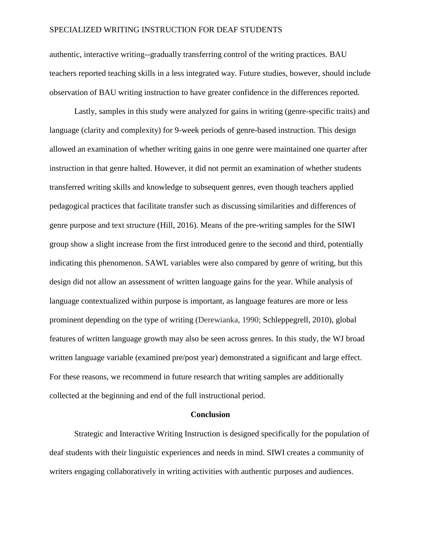authentic, interactive writing--gradually transferring control of the writing practices. BAU teachers reported teaching skills in a less integrated way. Future studies, however, should include observation of BAU writing instruction to have greater confidence in the differences reported.

Lastly, samples in this study were analyzed for gains in writing (genre-specific traits) and language (clarity and complexity) for 9-week periods of genre-based instruction. This design allowed an examination of whether writing gains in one genre were maintained one quarter after instruction in that genre halted. However, it did not permit an examination of whether students transferred writing skills and knowledge to subsequent genres, even though teachers applied pedagogical practices that facilitate transfer such as discussing similarities and differences of genre purpose and text structure (Hill, 2016). Means of the pre-writing samples for the SIWI group show a slight increase from the first introduced genre to the second and third, potentially indicating this phenomenon. SAWL variables were also compared by genre of writing, but this design did not allow an assessment of written language gains for the year. While analysis of language contextualized within purpose is important, as language features are more or less prominent depending on the type of writing (Derewianka, 1990; Schleppegrell, 2010), global features of written language growth may also be seen across genres. In this study, the WJ broad written language variable (examined pre/post year) demonstrated a significant and large effect. For these reasons, we recommend in future research that writing samples are additionally collected at the beginning and end of the full instructional period.

#### **Conclusion**

Strategic and Interactive Writing Instruction is designed specifically for the population of deaf students with their linguistic experiences and needs in mind. SIWI creates a community of writers engaging collaboratively in writing activities with authentic purposes and audiences.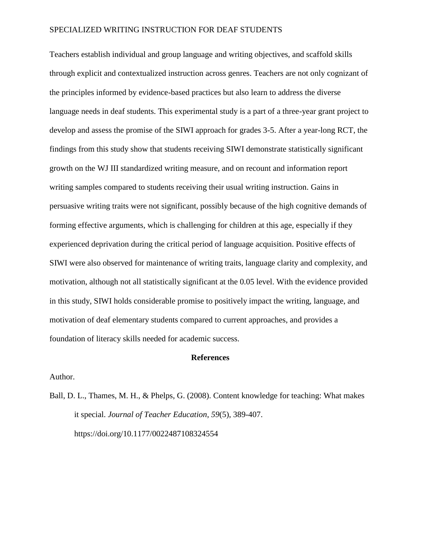Teachers establish individual and group language and writing objectives, and scaffold skills through explicit and contextualized instruction across genres. Teachers are not only cognizant of the principles informed by evidence-based practices but also learn to address the diverse language needs in deaf students. This experimental study is a part of a three-year grant project to develop and assess the promise of the SIWI approach for grades 3-5. After a year-long RCT, the findings from this study show that students receiving SIWI demonstrate statistically significant growth on the WJ III standardized writing measure, and on recount and information report writing samples compared to students receiving their usual writing instruction. Gains in persuasive writing traits were not significant, possibly because of the high cognitive demands of forming effective arguments, which is challenging for children at this age, especially if they experienced deprivation during the critical period of language acquisition. Positive effects of SIWI were also observed for maintenance of writing traits, language clarity and complexity, and motivation, although not all statistically significant at the 0.05 level. With the evidence provided in this study, SIWI holds considerable promise to positively impact the writing, language, and motivation of deaf elementary students compared to current approaches, and provides a foundation of literacy skills needed for academic success.

#### **References**

Author.

Ball, D. L., Thames, M. H., & Phelps, G. (2008). Content knowledge for teaching: What makes it special. *Journal of Teacher Education*, *59*(5), 389-407. https://doi.org/10.1177/0022487108324554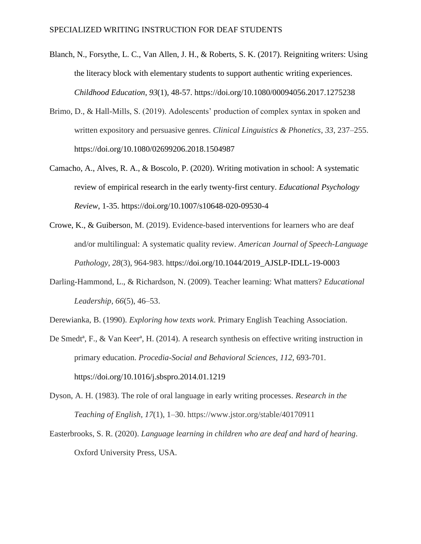- Blanch, N., Forsythe, L. C., Van Allen, J. H., & Roberts, S. K. (2017). Reigniting writers: Using the literacy block with elementary students to support authentic writing experiences. *Childhood Education*, *93*(1), 48-57. https://doi.org/10.1080/00094056.2017.1275238
- Brimo, D., & Hall-Mills, S. (2019). Adolescents' production of complex syntax in spoken and written expository and persuasive genres. *Clinical Linguistics & Phonetics*, *33*, 237–255. <https://doi.org/10.1080/02699206.2018.1504987>
- Camacho, A., Alves, R. A., & Boscolo, P. (2020). Writing motivation in school: A systematic review of empirical research in the early twenty-first century. *Educational Psychology Review*, 1-35.<https://doi.org/10.1007/s10648-020-09530-4>
- Crowe, K., & Guiberson, M. (2019). Evidence-based interventions for learners who are deaf and/or multilingual: A systematic quality review. *American Journal of Speech-Language Pathology*, *28*(3), 964-983. [https://doi.org/10.1044/2019\\_AJSLP-IDLL-19-0003](https://doi.org/10.1044/2019_AJSLP-IDLL-19-0003)
- Darling-Hammond, L., & Richardson, N. (2009). Teacher learning: What matters? *Educational Leadership*, *66*(5), 46–53.
- Derewianka, B. (1990). *Exploring how texts work*. Primary English Teaching Association.
- De Smedtª, F., & Van Keerª, H. (2014). A research synthesis on effective writing instruction in primary education. *Procedia-Social and Behavioral Sciences*, *112*, 693-701. <https://doi.org/10.1016/j.sbspro.2014.01.1219>
- Dyson, A. H. (1983). The role of oral language in early writing processes. *Research in the Teaching of English*, *17*(1), 1–30. https://www.jstor.org/stable/40170911
- Easterbrooks, S. R. (2020). *Language learning in children who are deaf and hard of hearing*. Oxford University Press, USA.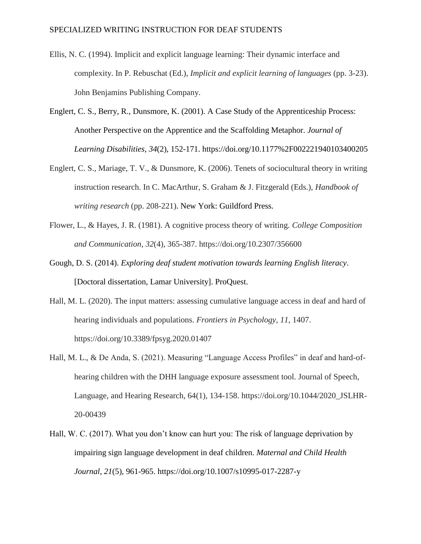- Ellis, N. C. (1994). Implicit and explicit language learning: Their dynamic interface and complexity. In P. Rebuschat (Ed.), *Implicit and explicit learning of languages* (pp. 3-23). John Benjamins Publishing Company.
- Englert, C. S., Berry, R., Dunsmore, K. (2001). A Case Study of the Apprenticeship Process: Another Perspective on the Apprentice and the Scaffolding Metaphor. *Journal of Learning Disabilities*, *34*(2), 152-171.<https://doi.org/10.1177%2F002221940103400205>
- Englert, C. S., Mariage, T. V., & Dunsmore, K. (2006). Tenets of sociocultural theory in writing instruction research. In C. MacArthur, S. Graham & J. Fitzgerald (Eds.), *Handbook of writing research* (pp. 208-221). New York: Guildford Press.
- Flower, L., & Hayes, J. R. (1981). A cognitive process theory of writing. *College Composition and Communication*, *32*(4), 365-387. https://doi.org/10.2307/356600
- Gough, D. S. (2014). *Exploring deaf student motivation towards learning English literacy*. [Doctoral dissertation, Lamar University]. ProQuest.
- Hall, M. L. (2020). The input matters: assessing cumulative language access in deaf and hard of hearing individuals and populations. *Frontiers in Psychology*, *11*, 1407. https://doi.org/10.3389/fpsyg.2020.01407
- Hall, M. L., & De Anda, S. (2021). Measuring "Language Access Profiles" in deaf and hard-ofhearing children with the DHH language exposure assessment tool. Journal of Speech, Language, and Hearing Research, 64(1), 134-158. [https://doi.org/10.1044/2020\\_JSLHR-](https://doi.org/10.1044/2020_JSLHR-20-00439)[20-00439](https://doi.org/10.1044/2020_JSLHR-20-00439)
- Hall, W. C. (2017). What you don't know can hurt you: The risk of language deprivation by impairing sign language development in deaf children. *Maternal and Child Health Journal*, *21*(5), 961-965. https://doi.org[/10.1007/s10995-017-2287-y](https://dx.doi.org/10.1007%2Fs10995-017-2287-y)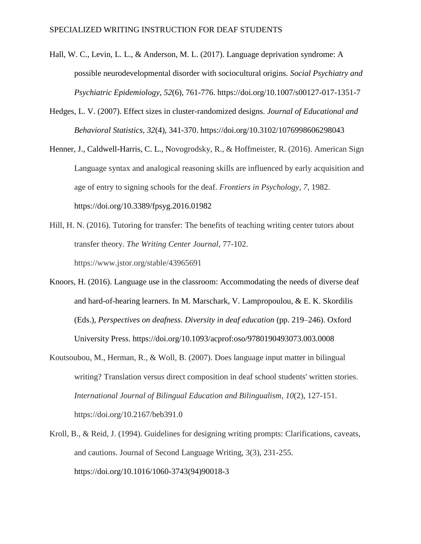- Hall, W. C., Levin, L. L., & Anderson, M. L. (2017). Language deprivation syndrome: A possible neurodevelopmental disorder with sociocultural origins. *Social Psychiatry and Psychiatric Epidemiology*, *52*(6), 761-776. https://doi.org[/10.1007/s00127-017-1351-7](https://dx.doi.org/10.1007%2Fs00127-017-1351-7)
- Hedges, L. V. (2007). Effect sizes in cluster-randomized designs. *Journal of Educational and Behavioral Statistics, 32*(4), 341-370.<https://doi.org/10.3102/1076998606298043>
- Henner, J., Caldwell-Harris, C. L., Novogrodsky, R., & Hoffmeister, R. (2016). American Sign Language syntax and analogical reasoning skills are influenced by early acquisition and age of entry to signing schools for the deaf. *Frontiers in Psychology*, *7*, 1982. <https://doi.org/10.3389/fpsyg.2016.01982>
- Hill, H. N. (2016). Tutoring for transfer: The benefits of teaching writing center tutors about transfer theory. *The Writing Center Journal*, 77-102. https://www.jstor.org/stable/43965691
- Knoors, H. (2016). Language use in the classroom: Accommodating the needs of diverse deaf and hard-of-hearing learners. In M. Marschark, V. Lampropoulou, & E. K. Skordilis (Eds.), *Perspectives on deafness. Diversity in deaf education* (pp. 219–246). Oxford University Press. [https://doi.org/10.1093/acprof:oso/9780190493073.003.0008](https://psycnet.apa.org/doi/10.1093/acprof:oso/9780190493073.003.0008)
- Koutsoubou, M., Herman, R., & Woll, B. (2007). Does language input matter in bilingual writing? Translation versus direct composition in deaf school students' written stories. *International Journal of Bilingual Education and Bilingualism*, *10*(2), 127-151. https://doi.org/10.2167/beb391.0
- Kroll, B., & Reid, J. (1994). Guidelines for designing writing prompts: Clarifications, caveats, and cautions. Journal of Second Language Writing, 3(3), 231-255. https://doi.org/10.1016/1060-3743(94)90018-3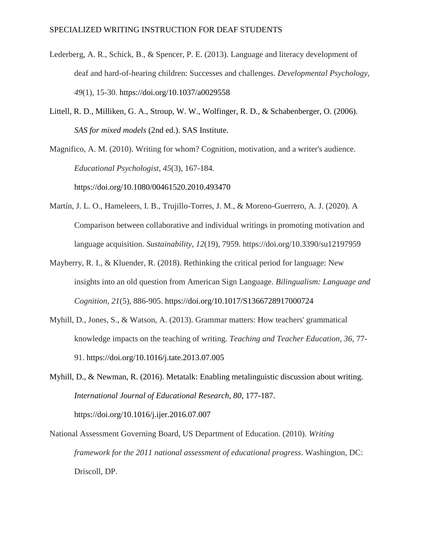- Lederberg, A. R., Schick, B., & Spencer, P. E. (2013). Language and literacy development of deaf and hard-of-hearing children: Successes and challenges. *Developmental Psychology*, *49*(1), 15-30. [https://doi.org/10.1037/a0029558](https://psycnet.apa.org/doi/10.1037/a0029558)
- Littell, R. D., Milliken, G. A., Stroup, W. W., Wolfinger, R. D., & Schabenberger, O. (2006). *SAS for mixed models* (2nd ed.). SAS Institute.

Magnifico, A. M. (2010). Writing for whom? Cognition, motivation, and a writer's audience. *Educational Psychologist*, *45*(3), 167-184.

<https://doi.org/10.1080/00461520.2010.493470>

- Martín, J. L. O., Hameleers, I. B., Trujillo-Torres, J. M., & Moreno-Guerrero, A. J. (2020). A Comparison between collaborative and individual writings in promoting motivation and language acquisition. *Sustainability*, *12*(19), 7959. https://doi.org/10.3390/su12197959
- Mayberry, R. I., & Kluender, R. (2018). Rethinking the critical period for language: New insights into an old question from American Sign Language. *Bilingualism: Language and Cognition*, *21*(5), 886-905. https://doi.org/10.1017/S1366728917000724
- Myhill, D., Jones, S., & Watson, A. (2013). Grammar matters: How teachers' grammatical knowledge impacts on the teaching of writing. *Teaching and Teacher Education*, *36*, 77- 91. https://doi.org[/10.1016/j.tate.2013.07.005](https://www.researchgate.net/deref/http%3A%2F%2Fdx.doi.org%2F10.1016%2Fj.tate.2013.07.005)
- Myhill, D., & Newman, R. (2016). Metatalk: Enabling metalinguistic discussion about writing. *International Journal of Educational Research*, *80*, 177-187. https://doi.org/10.1016/j.ijer.2016.07.007
- National Assessment Governing Board, US Department of Education. (2010). *Writing framework for the 2011 national assessment of educational progress*. Washington, DC: Driscoll, DP.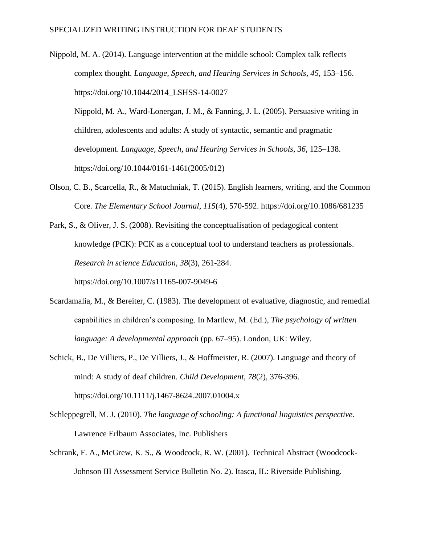Nippold, M. A. (2014). Language intervention at the middle school: Complex talk reflects complex thought. *Language, Speech, and Hearing Services in Schools, 45*, 153–156. [https://doi.org/10.1044/2014\\_LSHSS-14-0027](https://doi.org/10.1044/2014_LSHSS-14-0027)

Nippold, M. A., Ward-Lonergan, J. M., & Fanning, J. L. (2005). Persuasive writing in children, adolescents and adults: A study of syntactic, semantic and pragmatic development. *Language, Speech, and Hearing Services in Schools*, *36*, 125–138. [https://doi.org/10.1044/0161-1461\(2005/012\)](https://doi.org/10.1044/0161-1461(2005/012))

Olson, C. B., Scarcella, R., & Matuchniak, T. (2015). English learners, writing, and the Common Core. *The Elementary School Journal*, *115*(4), 570-592. https://doi.org/10.1086/681235

Park, S., & Oliver, J. S. (2008). Revisiting the conceptualisation of pedagogical content knowledge (PCK): PCK as a conceptual tool to understand teachers as professionals. *Research in science Education*, *38*(3), 261-284.

https://doi.org/10.1007/s11165-007-9049-6

- Scardamalia, M., & Bereiter, C. (1983). The development of evaluative, diagnostic, and remedial capabilities in children's composing. In Martlew, M. (Ed.), *The psychology of written language: A developmental approach* (pp. 67–95). London, UK: Wiley.
- Schick, B., De Villiers, P., De Villiers, J., & Hoffmeister, R. (2007). Language and theory of mind: A study of deaf children. *Child Development*, *78*(2), 376-396. https://doi.org/10.1111/j.1467-8624.2007.01004.x
- Schleppegrell, M. J. (2010). *The language of schooling: A functional linguistics perspective.*  Lawrence Erlbaum Associates, Inc. Publishers
- Schrank, F. A., McGrew, K. S., & Woodcock, R. W. (2001). Technical Abstract (Woodcock-Johnson III Assessment Service Bulletin No. 2). Itasca, IL: Riverside Publishing.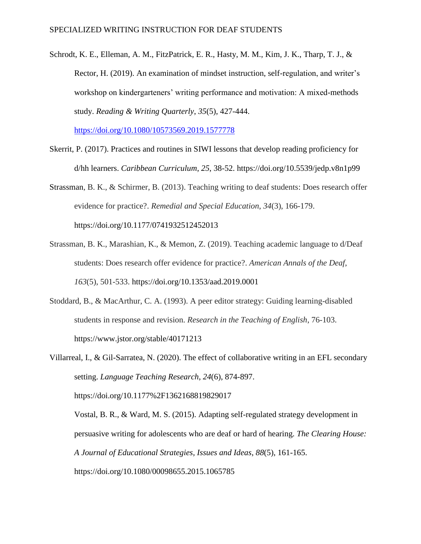Schrodt, K. E., Elleman, A. M., FitzPatrick, E. R., Hasty, M. M., Kim, J. K., Tharp, T. J., & Rector, H. (2019). An examination of mindset instruction, self-regulation, and writer's workshop on kindergarteners' writing performance and motivation: A mixed-methods study. *Reading & Writing Quarterly*, *35*(5), 427-444.

<https://doi.org/10.1080/10573569.2019.1577778>

- Skerrit, P. (2017). Practices and routines in SIWI lessons that develop reading proficiency for d/hh learners. *Caribbean Curriculum*, *25*, 38-52.<https://doi.org/10.5539/jedp.v8n1p99>
- Strassman, B. K., & Schirmer, B. (2013). Teaching writing to deaf students: Does research offer evidence for practice?. *Remedial and Special Education*, *34*(3), 166-179. [https://doi.org/10.1177/0741932512452013](https://doi.org/10.1177%2F0741932512452013)
- Strassman, B. K., Marashian, K., & Memon, Z. (2019). Teaching academic language to d/Deaf students: Does research offer evidence for practice?. *American Annals of the Deaf*, *163*(5), 501-533. https://doi.org[/10.1353/aad.2019.0001](https://doi.org/10.1353/aad.2019.0001)
- Stoddard, B., & MacArthur, C. A. (1993). A peer editor strategy: Guiding learning-disabled students in response and revision. *Research in the Teaching of English*, 76-103. https://www.jstor.org/stable/40171213

Villarreal, I., & Gil-Sarratea, N. (2020). The effect of collaborative writing in an EFL secondary setting. *Language Teaching Research*, *24*(6), 874-897. https://doi.org/10.1177%2F1362168819829017 Vostal, B. R., & Ward, M. S. (2015). Adapting self-regulated strategy development in persuasive writing for adolescents who are deaf or hard of hearing. *The Clearing House: A Journal of Educational Strategies, Issues and Ideas*, *88*(5), 161-165. <https://doi.org/10.1080/00098655.2015.1065785>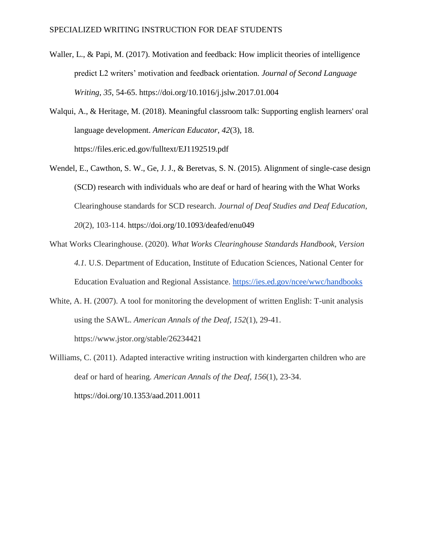- Waller, L., & Papi, M. (2017). Motivation and feedback: How implicit theories of intelligence predict L2 writers' motivation and feedback orientation. *Journal of Second Language Writing*, *35*, 54-65.<https://doi.org/10.1016/j.jslw.2017.01.004>
- Walqui, A., & Heritage, M. (2018). Meaningful classroom talk: Supporting english learners' oral language development. *American Educator*, *42*(3), 18. https://files.eric.ed.gov/fulltext/EJ1192519.pdf
- Wendel, E., Cawthon, S. W., Ge, J. J., & Beretvas, S. N. (2015). Alignment of single-case design (SCD) research with individuals who are deaf or hard of hearing with the What Works Clearinghouse standards for SCD research. *Journal of Deaf Studies and Deaf Education*, *20*(2), 103-114.<https://doi.org/10.1093/deafed/enu049>
- What Works Clearinghouse. (2020). *What Works Clearinghouse Standards Handbook, Version 4.1.* U.S. Department of Education, Institute of Education Sciences, National Center for Education Evaluation and Regional Assistance.<https://ies.ed.gov/ncee/wwc/handbooks>
- White, A. H. (2007). A tool for monitoring the development of written English: T-unit analysis using the SAWL. *American Annals of the Deaf*, *152*(1), 29-41. https://www.jstor.org/stable/26234421
- Williams, C. (2011). Adapted interactive writing instruction with kindergarten children who are deaf or hard of hearing. *American Annals of the Deaf*, *156*(1), 23-34. <https://doi.org/10.1353/aad.2011.0011>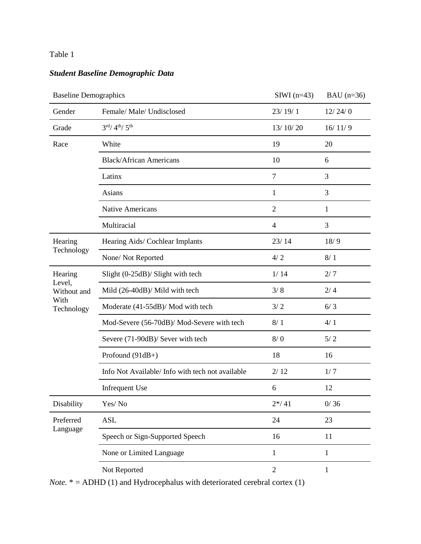# *Student Baseline Demographic Data*

| <b>Baseline Demographics</b>                |                                                  | $SIWI$ (n=43)  | BAU $(n=36)$ |
|---------------------------------------------|--------------------------------------------------|----------------|--------------|
| Gender                                      | Female/ Male/ Undisclosed                        | 23/19/1        | 12/24/0      |
| Grade                                       | $3^{\text{rd}}/4^{\text{th}}/5^{\text{th}}$      | 13/10/20       | 16/11/9      |
| Race                                        | White                                            | 19             | 20           |
|                                             | <b>Black/African Americans</b>                   | 10             | 6            |
|                                             | Latinx                                           | $\tau$         | 3            |
|                                             | Asians                                           | 1              | 3            |
|                                             | <b>Native Americans</b>                          | $\overline{2}$ | 1            |
|                                             | Multiracial                                      | $\overline{4}$ | 3            |
| Hearing                                     | Hearing Aids/ Cochlear Implants                  | 23/14          | 18/9         |
| Technology                                  | None/Not Reported                                | 4/2            | 8/1          |
| Hearing                                     | Slight (0-25dB)/ Slight with tech                | 1/14           | 2/7          |
| Level,<br>Without and<br>With<br>Technology | Mild (26-40dB)/ Mild with tech                   | 3/8            | 2/4          |
|                                             | Moderate (41-55dB)/ Mod with tech                | 3/2            | 6/3          |
|                                             | Mod-Severe (56-70dB)/ Mod-Severe with tech       | 8/1            | 4/1          |
|                                             | Severe (71-90dB)/ Sever with tech                | 8/0            | 5/2          |
|                                             | Profound (91dB+)                                 | 18             | 16           |
|                                             | Info Not Available/ Info with tech not available | 2/12           | 1/7          |
|                                             | Infrequent Use                                   | 6              | 12           |
| Disability                                  | Yes/No                                           | $2*/41$        | 0/36         |
| Preferred                                   | <b>ASL</b>                                       | 24             | 23           |
| Language                                    | Speech or Sign-Supported Speech                  | 16             | 11           |
|                                             | None or Limited Language                         | $\mathbf{1}$   | 1            |
|                                             | Not Reported                                     | $\overline{2}$ | 1            |

*Note.* \* = ADHD (1) and Hydrocephalus with deteriorated cerebral cortex (1)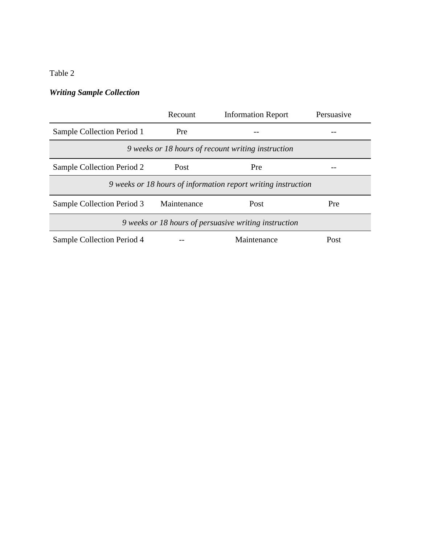# *Writing Sample Collection*

|                                                    | Recount                                                       | <b>Information Report</b> | Persuasive |  |  |  |  |  |  |  |  |  |  |
|----------------------------------------------------|---------------------------------------------------------------|---------------------------|------------|--|--|--|--|--|--|--|--|--|--|
| Sample Collection Period 1                         | Pre                                                           |                           |            |  |  |  |  |  |  |  |  |  |  |
| 9 weeks or 18 hours of recount writing instruction |                                                               |                           |            |  |  |  |  |  |  |  |  |  |  |
| Sample Collection Period 2                         | Post                                                          | Pre                       |            |  |  |  |  |  |  |  |  |  |  |
|                                                    | 9 weeks or 18 hours of information report writing instruction |                           |            |  |  |  |  |  |  |  |  |  |  |
| Sample Collection Period 3                         | Maintenance                                                   | Post                      | Pre        |  |  |  |  |  |  |  |  |  |  |
|                                                    | 9 weeks or 18 hours of persuasive writing instruction         |                           |            |  |  |  |  |  |  |  |  |  |  |
| Sample Collection Period 4                         |                                                               | Maintenance               | Post       |  |  |  |  |  |  |  |  |  |  |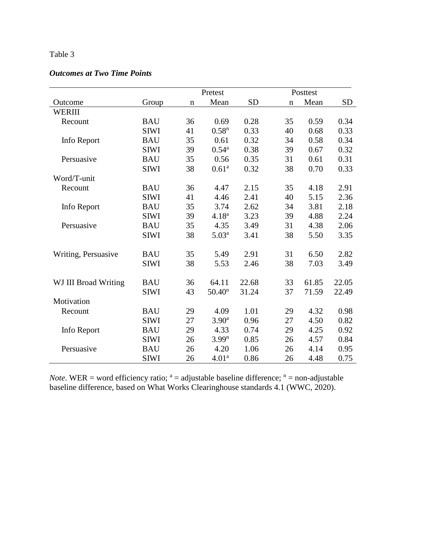# *Outcomes at Two Time Points*

|                      |             |             | Pretest            |           | Posttest    |       |           |
|----------------------|-------------|-------------|--------------------|-----------|-------------|-------|-----------|
| Outcome              | Group       | $\mathbf n$ | Mean               | <b>SD</b> | $\mathbf n$ | Mean  | <b>SD</b> |
| WERIII               |             |             |                    |           |             |       |           |
| Recount              | <b>BAU</b>  | 36          | 0.69               | 0.28      | 35          | 0.59  | 0.34      |
|                      | <b>SIWI</b> | 41          | 0.58 <sup>n</sup>  | 0.33      | 40          | 0.68  | 0.33      |
| Info Report          | <b>BAU</b>  | 35          | 0.61               | 0.32      | 34          | 0.58  | 0.34      |
|                      | <b>SIWI</b> | 39          | $0.54^{\rm a}$     | 0.38      | 39          | 0.67  | 0.32      |
| Persuasive           | <b>BAU</b>  | 35          | 0.56               | 0.35      | 31          | 0.61  | 0.31      |
|                      | <b>SIWI</b> | 38          | 0.61 <sup>a</sup>  | 0.32      | 38          | 0.70  | 0.33      |
| Word/T-unit          |             |             |                    |           |             |       |           |
| Recount              | <b>BAU</b>  | 36          | 4.47               | 2.15      | 35          | 4.18  | 2.91      |
|                      | <b>SIWI</b> | 41          | 4.46               | 2.41      | 40          | 5.15  | 2.36      |
| Info Report          | <b>BAU</b>  | 35          | 3.74               | 2.62      | 34          | 3.81  | 2.18      |
|                      | <b>SIWI</b> | 39          | $4.18^{a}$         | 3.23      | 39          | 4.88  | 2.24      |
| Persuasive           | <b>BAU</b>  | 35          | 4.35               | 3.49      | 31          | 4.38  | 2.06      |
|                      | <b>SIWI</b> | 38          | 5.03 <sup>a</sup>  | 3.41      | 38          | 5.50  | 3.35      |
| Writing, Persuasive  | <b>BAU</b>  | 35          | 5.49               | 2.91      | 31          | 6.50  | 2.82      |
|                      | <b>SIWI</b> | 38          | 5.53               | 2.46      | 38          | 7.03  | 3.49      |
| WJ III Broad Writing | <b>BAU</b>  | 36          | 64.11              | 22.68     | 33          | 61.85 | 22.05     |
|                      | <b>SIWI</b> | 43          | 50.40 <sup>n</sup> | 31.24     | 37          | 71.59 | 22.49     |
| Motivation           |             |             |                    |           |             |       |           |
| Recount              | <b>BAU</b>  | 29          | 4.09               | 1.01      | 29          | 4.32  | 0.98      |
|                      | <b>SIWI</b> | 27          | 3.90 <sup>a</sup>  | 0.96      | 27          | 4.50  | 0.82      |
| Info Report          | <b>BAU</b>  | 29          | 4.33               | 0.74      | 29          | 4.25  | 0.92      |
|                      | <b>SIWI</b> | 26          | 3.99 <sup>n</sup>  | 0.85      | 26          | 4.57  | 0.84      |
| Persuasive           | <b>BAU</b>  | 26          | 4.20               | 1.06      | 26          | 4.14  | 0.95      |
|                      | <b>SIWI</b> | 26          | 4.01 <sup>a</sup>  | 0.86      | 26          | 4.48  | 0.75      |

*Note*. WER = word efficiency ratio;  $a = adjustable$  baseline difference;  $n = non-adjustable$ baseline difference, based on What Works Clearinghouse standards 4.1 (WWC, 2020).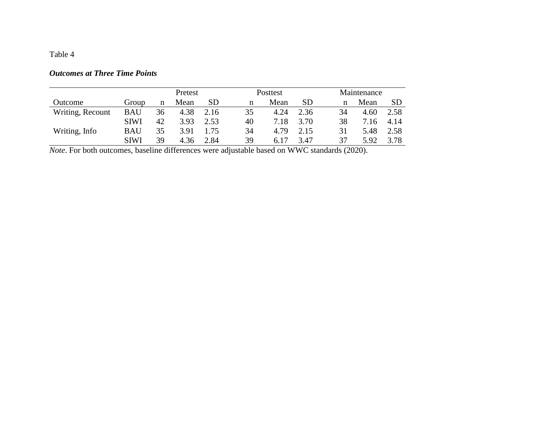# *Outcomes at Three Time Points*

|                  |             |    | Pretest |           |    | Posttest |           | Maintenance |      |           |  |  |  |
|------------------|-------------|----|---------|-----------|----|----------|-----------|-------------|------|-----------|--|--|--|
| Outcome          | Group       | n  | Mean    | <b>SD</b> | n  | Mean     | <b>SD</b> | n           | Mean | <b>SD</b> |  |  |  |
| Writing, Recount | <b>BAU</b>  | 36 | 4.38    | 2.16      | 35 | 4.24     | 2.36      | 34          | 4.60 | 2.58      |  |  |  |
|                  | <b>SIWI</b> | 42 | 3.93    | 2.53      | 40 | 7.18     | 3.70      | 38          | 7.16 | 4.14      |  |  |  |
| Writing, Info    | BAU         | 35 | 3.91    | 1.75      | 34 | 4.79     | 2.15      | 31          | 5.48 | 2.58      |  |  |  |
|                  | <b>SIWI</b> | 39 | 4.36    | 2.84      | 39 | 6.17     | 3.47      | 37          | 5.92 | 3.78      |  |  |  |

*Note*. For both outcomes, baseline differences were adjustable based on WWC standards (2020).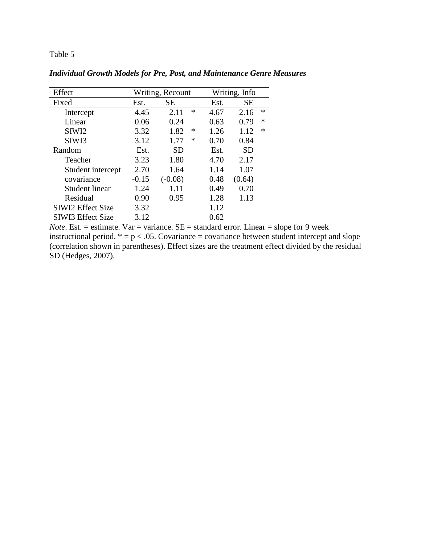| Effect                   |         | Writing, Recount |      | Writing, Info  |
|--------------------------|---------|------------------|------|----------------|
| Fixed                    | Est.    | <b>SE</b>        | Est. | <b>SE</b>      |
| Intercept                | 4.45    | ∗<br>2.11        | 4.67 | $\ast$<br>2.16 |
| Linear                   | 0.06    | 0.24             | 0.63 | $\ast$<br>0.79 |
| SIW <sub>I2</sub>        | 3.32    | 1.82<br>∗        | 1.26 | $\ast$<br>1.12 |
| SIW <sub>I3</sub>        | 3.12    | ∗<br>1.77        | 0.70 | 0.84           |
| Random                   | Est.    | SD               | Est. | <b>SD</b>      |
| Teacher                  | 3.23    | 1.80             | 4.70 | 2.17           |
| Student intercept        | 2.70    | 1.64             | 1.14 | 1.07           |
| covariance               | $-0.15$ | $(-0.08)$        | 0.48 | (0.64)         |
| <b>Student linear</b>    | 1.24    | 1.11             | 0.49 | 0.70           |
| Residual                 | 0.90    | 0.95             | 1.28 | 1.13           |
| <b>SIWI2 Effect Size</b> | 3.32    |                  | 1.12 |                |
| <b>SIWI3 Effect Size</b> | 3.12    |                  | 0.62 |                |

*Individual Growth Models for Pre, Post, and Maintenance Genre Measures*

*Note*. Est. = estimate. Var = variance.  $SE =$  standard error. Linear = slope for 9 week instructional period.  $* = p < .05$ . Covariance = covariance between student intercept and slope (correlation shown in parentheses). Effect sizes are the treatment effect divided by the residual SD (Hedges, 2007).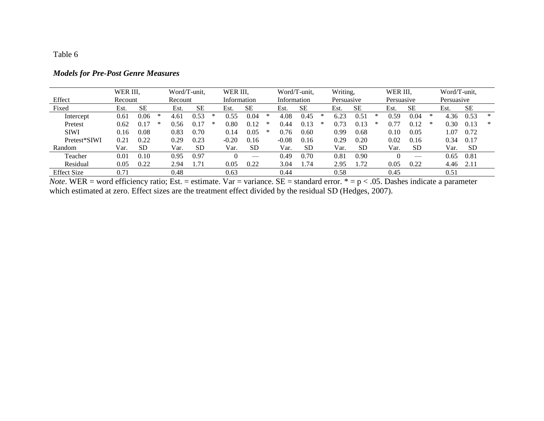| <b>Models for Pre-Post Genre Measures</b> |  |  |  |
|-------------------------------------------|--|--|--|
|-------------------------------------------|--|--|--|

|                    | WER III. |           |   | Word/T-unit, |           |   | WER III, |                            |   | Word/T-unit. |           |   | Writing,   |           | WER III. |            |           | Word/T-unit, |            |           |   |
|--------------------|----------|-----------|---|--------------|-----------|---|----------|----------------------------|---|--------------|-----------|---|------------|-----------|----------|------------|-----------|--------------|------------|-----------|---|
| Effect             | Recount  |           |   |              | Recount   |   |          | Information<br>Information |   |              |           |   | Persuasive |           |          | Persuasive |           |              | Persuasive |           |   |
| Fixed              | Est.     | <b>SE</b> |   | Est.         | <b>SE</b> |   | Est.     | <b>SE</b>                  |   | Est          | <b>SE</b> |   | Est.       | <b>SE</b> |          | Est.       | <b>SE</b> |              | Est.       | <b>SE</b> |   |
| Intercept          | 0.61     | 0.06      | * | 4.61         | 0.53      | ∗ | 0.55     | 0.04                       | ∗ | 4.08         | 0.45      | ∗ | 6.23       | 0.51      | ∗        | 0.59       | 0.04      | ∗            | 4.36       | 0.53      | ∗ |
| Pretest            | 0.62     | 0.17      | ∗ | 0.56         | 0.1       | * | $0.80\,$ | 0.12                       | ∗ | 0.44         |           | ∗ | 0.73       |           | $\ast$   | 0.77       | 0.12      | *            | 0.30       | 0.13      | ∗ |
| <b>SIWI</b>        | 0.16     | 0.08      |   | 0.83         | 0.70      |   | 0.14     | 0.05                       | ∗ | 0.76         | 0.60      |   | 0.99       | 0.68      |          | 0.10       | 0.05      |              | $\pm 07$   | 0.72      |   |
| Pretest*SIWI       | 0.21     | 0.22      |   | 0.29         | 0.23      |   | $-0.20$  | 0.16                       |   | $-0.08$      | 0.16      |   | 0.29       | 0.20      |          | 0.02       | 0.16      |              | 0.34       | 0.17      |   |
| Random             | Var.     | <b>SD</b> |   | Var.         | <b>SD</b> |   | Var.     | <b>SD</b>                  |   | Var.         | <b>SD</b> |   | Var.       | <b>SD</b> |          | Var.       | <b>SD</b> |              | Var.       | <b>SD</b> |   |
| Teacher            | 0.01     | 0.10      |   | 0.95         | 0.97      |   |          | $\overline{\phantom{a}}$   |   | 0.49         | 0.70      |   | 0.81       | 0.90      |          |            | __        |              | 0.65       | 0.81      |   |
| Residual           | 0.05     | 0.22      |   | 2.94         | 1.71      |   | 0.05     | 0.22                       |   | 3.04         | 1.74      |   | 2.95       | 1.72      |          | 0.05       | 0.22      |              | 4.46       | 2.11      |   |
| <b>Effect Size</b> | 0.71     |           |   | 0.48         |           |   | 0.63     |                            |   | 0.44         |           |   | 0.58       |           |          | 0.45       |           |              | 0.51       |           |   |

*Note*. WER = word efficiency ratio; Est. = estimate. Var = variance. SE = standard error.  $* = p < .05$ . Dashes indicate a parameter which estimated at zero. Effect sizes are the treatment effect divided by the residual SD (Hedges, 2007).